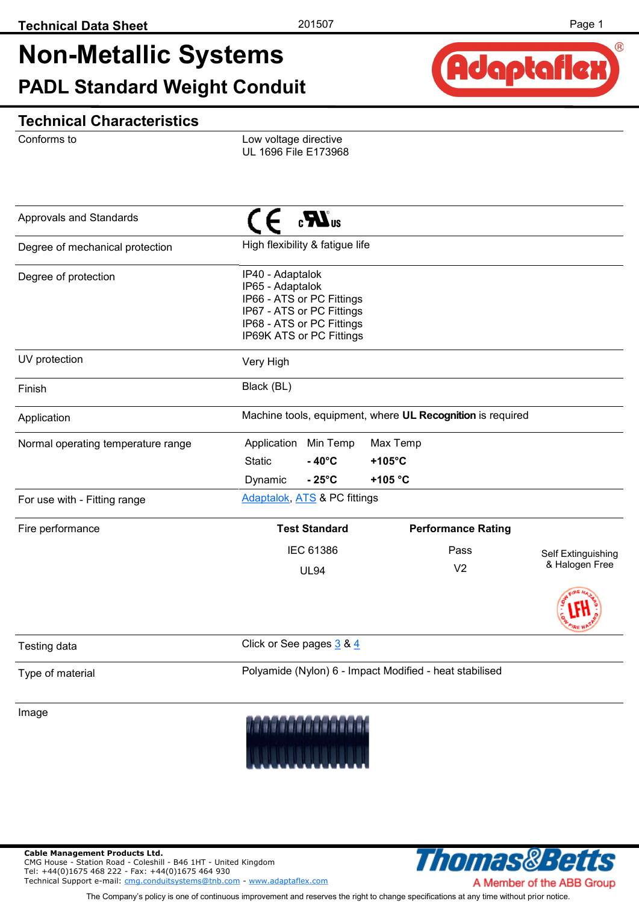Adaptaflex

 $(R)$ 

## **Non-Metallic Systems PADL Standard Weight Conduit**

#### **Technical Characteristics**

Conforms to

Low voltage directive UL 1696 File E173968

| Approvals and Standards            | $\mathbf{R}^{\text{us}}$                                                                                                                                |                                                            |                    |  |
|------------------------------------|---------------------------------------------------------------------------------------------------------------------------------------------------------|------------------------------------------------------------|--------------------|--|
| Degree of mechanical protection    | High flexibility & fatigue life                                                                                                                         |                                                            |                    |  |
| Degree of protection               | IP40 - Adaptalok<br>IP65 - Adaptalok<br>IP66 - ATS or PC Fittings<br>IP67 - ATS or PC Fittings<br>IP68 - ATS or PC Fittings<br>IP69K ATS or PC Fittings |                                                            |                    |  |
| UV protection                      | Very High                                                                                                                                               |                                                            |                    |  |
| Finish                             | Black (BL)                                                                                                                                              |                                                            |                    |  |
| Application                        |                                                                                                                                                         | Machine tools, equipment, where UL Recognition is required |                    |  |
| Normal operating temperature range | Application Min Temp<br><b>Static</b><br>$-40^{\circ}$ C<br>$-25^{\circ}$ C<br>Dynamic                                                                  | Max Temp<br>$+105^{\circ}$ C<br>+105 °C                    |                    |  |
| For use with - Fitting range       | Adaptalok, ATS & PC fittings                                                                                                                            |                                                            |                    |  |
| Fire performance                   | <b>Test Standard</b>                                                                                                                                    | <b>Performance Rating</b>                                  |                    |  |
|                                    | <b>IEC 61386</b>                                                                                                                                        | Pass                                                       | Self Extinguishing |  |
|                                    | <b>UL94</b>                                                                                                                                             | V <sub>2</sub>                                             | & Halogen Free     |  |
|                                    |                                                                                                                                                         |                                                            |                    |  |
| Testing data                       | Click or See pages 3 & 4                                                                                                                                |                                                            |                    |  |
| Type of material                   | Polyamide (Nylon) 6 - Impact Modified - heat stabilised                                                                                                 |                                                            |                    |  |
| Image                              |                                                                                                                                                         |                                                            |                    |  |

**Cable Management Products Ltd.**  CMG House - Station Road - Coleshill - B46 1HT - United Kingdom Tel: +44(0)1675 468 222 - Fax: +44(0)1675 464 930 Technical Support e-mail: [cmg.conduitsystems@tnb.com](mailto:cmg.conduitsystems@tnb.com?subject=Data%20Sheet%20-%20Technical%20Support) - [www.adaptaflex.com](http://www.adaptaflex.com)



The Company's policy is one of continuous improvement and reserves the right to change specifications at any time without prior notice.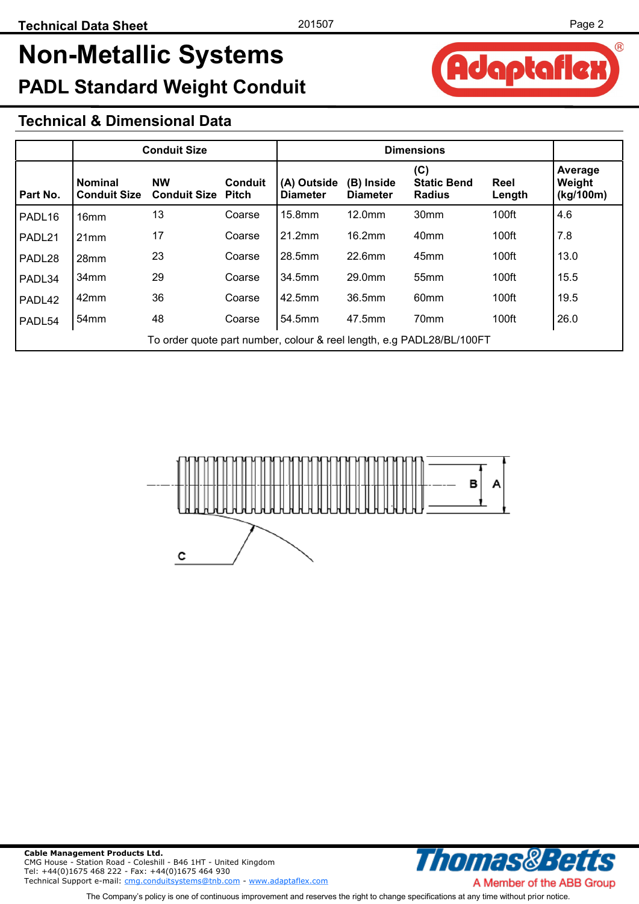Adaptafle

 $(R)$ 

## **Non-Metallic Systems PADL Standard Weight Conduit**

#### **Technical & Dimensional Data**

|                    | <b>Conduit Size</b>                                                   |                                        |                | <b>Dimensions</b>              |                               |                                            |                |                                |
|--------------------|-----------------------------------------------------------------------|----------------------------------------|----------------|--------------------------------|-------------------------------|--------------------------------------------|----------------|--------------------------------|
| Part No.           | <b>Nominal</b><br><b>Conduit Size</b>                                 | <b>NW</b><br><b>Conduit Size Pitch</b> | <b>Conduit</b> | (A) Outside<br><b>Diameter</b> | (B) Inside<br><b>Diameter</b> | (C)<br><b>Static Bend</b><br><b>Radius</b> | Reel<br>Length | Average<br>Weight<br>(kg/100m) |
| PADL <sub>16</sub> | 16 <sub>mm</sub>                                                      | 13                                     | Coarse         | 15.8mm                         | 12.0mm                        | 30mm                                       | 100ft          | 4.6                            |
| PADL21             | 21mm                                                                  | 17                                     | Coarse         | 21.2mm                         | 16.2mm                        | 40mm                                       | 100ft          | 7.8                            |
| PADL28             | 28mm                                                                  | 23                                     | Coarse         | 28.5mm                         | 22.6mm                        | 45mm                                       | 100ft          | 13.0                           |
| PADL34             | 34mm                                                                  | 29                                     | Coarse         | 34.5mm                         | 29.0mm                        | 55mm                                       | 100ft          | 15.5                           |
| PADL42             | 42mm                                                                  | 36                                     | Coarse         | 42.5mm                         | 36.5mm                        | 60mm                                       | 100ft          | 19.5                           |
| PADL54             | 54 <sub>mm</sub>                                                      | 48                                     | Coarse         | 54.5mm                         | 47.5mm                        | 70mm                                       | 100ft          | 26.0                           |
|                    | To order quote part number, colour & reel length, e.g PADL28/BL/100FT |                                        |                |                                |                               |                                            |                |                                |



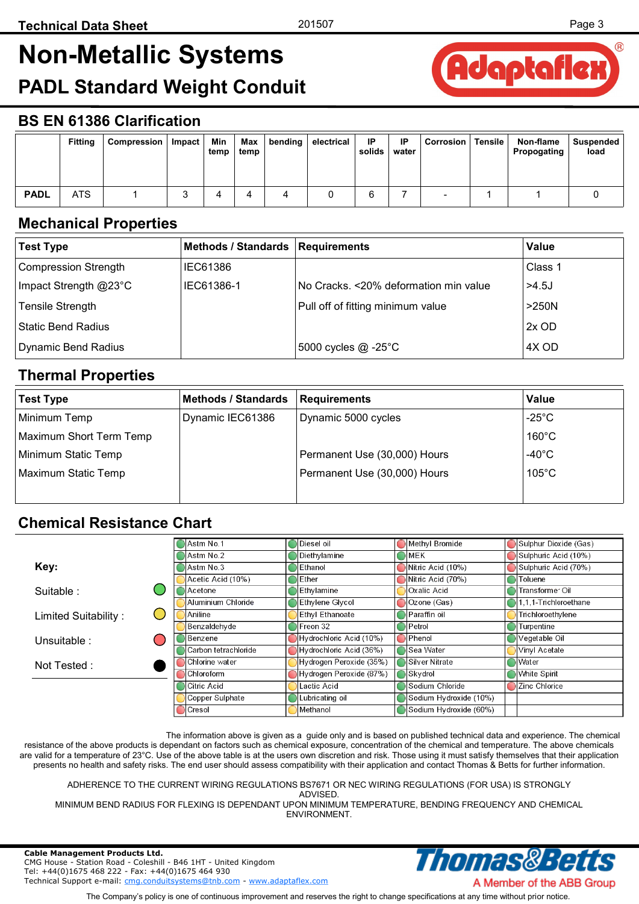## <span id="page-2-0"></span>**Non-Metallic Systems**





#### **BS EN 61386 Clarification**

|             | <b>Fitting</b> | Compression | Impact | Min<br>temp | Max<br>temp | bending | electrical | IP<br>solids | -IP<br>water | Corrosion | Tensile | Non-flame<br>Propogating | Suspended<br>load |
|-------------|----------------|-------------|--------|-------------|-------------|---------|------------|--------------|--------------|-----------|---------|--------------------------|-------------------|
| <b>PADL</b> | ATS            |             | ັ      |             |             |         |            |              |              | -         |         |                          |                   |

#### **Mechanical Properties**

| <b>Test Type</b>      | Methods / Standards   Requirements |                                       | Value    |
|-----------------------|------------------------------------|---------------------------------------|----------|
| Compression Strength  | IEC61386                           |                                       | Class 1  |
| Impact Strength @23°C | IEC61386-1                         | No Cracks. <20% deformation min value | $>4.5$ J |
| Tensile Strength      |                                    | Pull off of fitting minimum value     | >250N    |
| Static Bend Radius    |                                    |                                       | $2x$ OD  |
| Dynamic Bend Radius   |                                    | 5000 cycles @ -25°C                   | 4X OD    |

#### **Thermal Properties**

| <b>Test Type</b>        | <b>Methods / Standards</b> | Requirements                 | <b>Value</b>     |
|-------------------------|----------------------------|------------------------------|------------------|
| Minimum Temp            | Dynamic IEC61386           | Dynamic 5000 cycles          | -25 $^{\circ}$ C |
| Maximum Short Term Temp |                            |                              | $160^{\circ}$ C  |
| Minimum Static Temp     |                            | Permanent Use (30,000) Hours | $-40^{\circ}$ C  |
| Maximum Static Temp     |                            | Permanent Use (30,000) Hours | $105^{\circ}$ C  |
|                         |                            |                              |                  |

#### **Chemical Resistance Chart**

|                      | lAstm No.1           | Diesel oil              | Methyl Bromide         | Sulphur Dioxide (Gas) |
|----------------------|----------------------|-------------------------|------------------------|-----------------------|
|                      | Astm No.2            | Diethylamine            | <b>MEK</b>             | Sulphuric Acid (10%)  |
| Key:                 | Astm No.3            | Ethanol                 | Nitric Acid (10%)      | Sulphuric Acid (70%)  |
|                      | Acetic Acid (10%)    | Ether                   | Nitric Acid (70%)      | Toluene               |
| Suitable:            | Acetone              | Ethylamine              | Oxalic Acid            | Transformer Oil       |
|                      | Aluminium Chloride   | <b>Ethylene Glycol</b>  | Ozone (Gas)            | l.1.1-Trichloroethane |
| Limited Suitability: | Aniline              | <b>Ethyl Ethanoate</b>  | Paraffin oil           | Trichloroethylene     |
|                      | Benzaldehyde         | Freon 32                | Petrol                 | Turpentine            |
| Unsuitable:          | Benzene              | Hydrochloric Acid (10%) | Phenol                 | Vegetable Oil         |
|                      | Carbon tetrachloride | Hydrochloric Acid (36%) | <b>Sea Water</b>       | Vinyl Acetate         |
| Not Tested:          | Chlorine water       | Hydrogen Peroxide (35%) | <b>Silver Nitrate</b>  | Water                 |
|                      | Chloroform           | Hydrogen Peroxide (87%) | Skydrol                | White Spirit          |
|                      | Citric Acid          | Lactic Acid             | Sodium Chloride        | Zinc Chloride         |
|                      | Copper Sulphate      | Lubricating oil         | Sodium Hydroxide (10%) |                       |
|                      | Cresol               | Methanol                | Sodium Hydroxide (60%) |                       |

The information above is given as a guide only and is based on published technical data and experience. The chemical resistance of the above products is dependant on factors such as chemical exposure, concentration of the chemical and temperature. The above chemicals are valid for a temperature of 23°C. Use of the above table is at the users own discretion and risk. Those using it must satisfy themselves that their application presents no health and safety risks. The end user should assess compatibility with their application and contact Thomas & Betts for further information.

ADHERENCE TO THE CURRENT WIRING REGULATIONS BS7671 OR NEC WIRING REGULATIONS (FOR USA) IS STRONGLY ADVISED.

MINIMUM BEND RADIUS FOR FLEXING IS DEPENDANT UPON MINIMUM TEMPERATURE, BENDING FREQUENCY AND CHEMICAL ENVIRONMENT.

Thomas&B

**Cable Management Products Ltd.**  CMG House - Station Road - Coleshill - B46 1HT - United Kingdom Tel: +44(0)1675 468 222 - Fax: +44(0)1675 464 930 Technical Support e-mail: [cmg.conduitsystems@tnb.com](mailto:cmg.conduitsystems@tnb.com?subject=Data%20Sheet%20-%20Technical%20Support) - [www.adaptaflex.com](http://www.adaptaflex.com)

The Company's policy is one of continuous improvement and reserves the right to change specifications at any time without prior notice.

A Member of the ABB Group